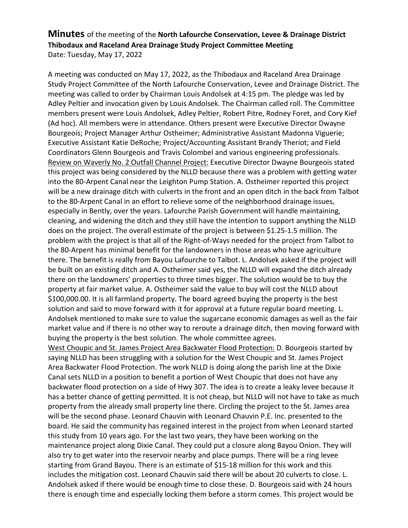## **Minutes** of the meeting of the **North Lafourche Conservation, Levee & Drainage District Thibodaux and Raceland Area Drainage Study Project Committee Meeting** Date: Tuesday, May 17, 2022

A meeting was conducted on May 17, 2022, as the Thibodaux and Raceland Area Drainage Study Project Committee of the North Lafourche Conservation, Levee and Drainage District. The meeting was called to order by Chairman Louis Andolsek at 4:15 pm. The pledge was led by Adley Peltier and invocation given by Louis Andolsek. The Chairman called roll. The Committee members present were Louis Andolsek, Adley Peltier, Robert Pitre, Rodney Foret, and Cory Kief (Ad hoc). All members were in attendance. Others present were Executive Director Dwayne Bourgeois; Project Manager Arthur Ostheimer; Administrative Assistant Madonna Viguerie; Executive Assistant Katie DeRoche; Project/Accounting Assistant Brandy Theriot; and Field Coordinators Glenn Bourgeois and Travis Colombel and various engineering professionals. Review on Waverly No. 2 Outfall Channel Project: Executive Director Dwayne Bourgeois stated this project was being considered by the NLLD because there was a problem with getting water into the 80-Arpent Canal near the Leighton Pump Station. A. Ostheimer reported this project will be a new drainage ditch with culverts in the front and an open ditch in the back from Talbot to the 80-Arpent Canal in an effort to relieve some of the neighborhood drainage issues, especially in Bently, over the years. Lafourche Parish Government will handle maintaining, cleaning, and widening the ditch and they still have the intention to support anything the NLLD does on the project. The overall estimate of the project is between \$1.25-1.5 million. The problem with the project is that all of the Right-of-Ways needed for the project from Talbot to the 80-Arpent has minimal benefit for the landowners in those areas who have agriculture there. The benefit is really from Bayou Lafourche to Talbot. L. Andolsek asked if the project will be built on an existing ditch and A. Ostheimer said yes, the NLLD will expand the ditch already there on the landowners' properties to three times bigger. The solution would be to buy the property at fair market value. A. Ostheimer said the value to buy will cost the NLLD about \$100,000.00. It is all farmland property. The board agreed buying the property is the best solution and said to move forward with it for approval at a future regular board meeting. L. Andolsek mentioned to make sure to value the sugarcane economic damages as well as the fair market value and if there is no other way to reroute a drainage ditch, then moving forward with buying the property is the best solution. The whole committee agrees.

West Choupic and St. James Project Area Backwater Flood Protection: D. Bourgeois started by saying NLLD has been struggling with a solution for the West Choupic and St. James Project Area Backwater Flood Protection. The work NLLD is doing along the parish line at the Dixie Canal sets NLLD in a position to benefit a portion of West Choupic that does not have any backwater flood protection on a side of Hwy 307. The idea is to create a leaky levee because it has a better chance of getting permitted. It is not cheap, but NLLD will not have to take as much property from the already small property line there. Circling the project to the St. James area will be the second phase. Leonard Chauvin with Leonard Chauvin P.E. Inc. presented to the board. He said the community has regained interest in the project from when Leonard started this study from 10 years ago. For the last two years, they have been working on the maintenance project along Dixie Canal. They could put a closure along Bayou Onion. They will also try to get water into the reservoir nearby and place pumps. There will be a ring levee starting from Grand Bayou. There is an estimate of \$15-18 million for this work and this includes the mitigation cost. Leonard Chauvin said there will be about 20 culverts to close. L. Andolsek asked if there would be enough time to close these. D. Bourgeois said with 24 hours there is enough time and especially locking them before a storm comes. This project would be